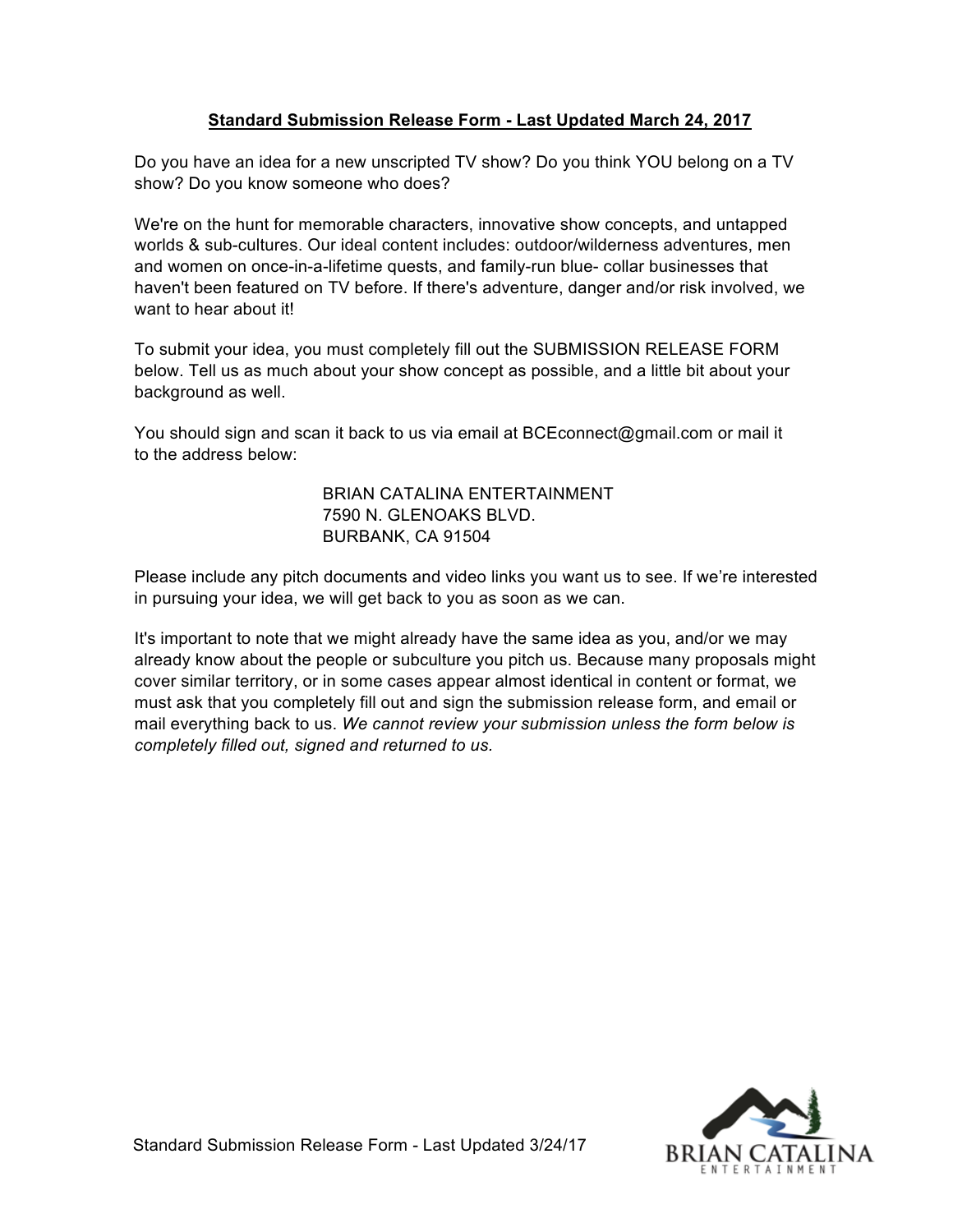## **Standard Submission Release Form - Last Updated March 24, 2017**

Do you have an idea for a new unscripted TV show? Do you think YOU belong on a TV show? Do you know someone who does?

We're on the hunt for memorable characters, innovative show concepts, and untapped worlds & sub-cultures. Our ideal content includes: outdoor/wilderness adventures, men and women on once-in-a-lifetime quests, and family-run blue- collar businesses that haven't been featured on TV before. If there's adventure, danger and/or risk involved, we want to hear about it!

To submit your idea, you must completely fill out the SUBMISSION RELEASE FORM below. Tell us as much about your show concept as possible, and a little bit about your background as well.

You should sign and scan it back to us via email at BCEconnect@gmail.com or mail it to the address below:

> BRIAN CATALINA ENTERTAINMENT 7590 N. GLENOAKS BLVD. BURBANK, CA 91504

Please include any pitch documents and video links you want us to see. If we're interested in pursuing your idea, we will get back to you as soon as we can.

It's important to note that we might already have the same idea as you, and/or we may already know about the people or subculture you pitch us. Because many proposals might cover similar territory, or in some cases appear almost identical in content or format, we must ask that you completely fill out and sign the submission release form, and email or mail everything back to us. *We cannot review your submission unless the form below is completely filled out, signed and returned to us.*

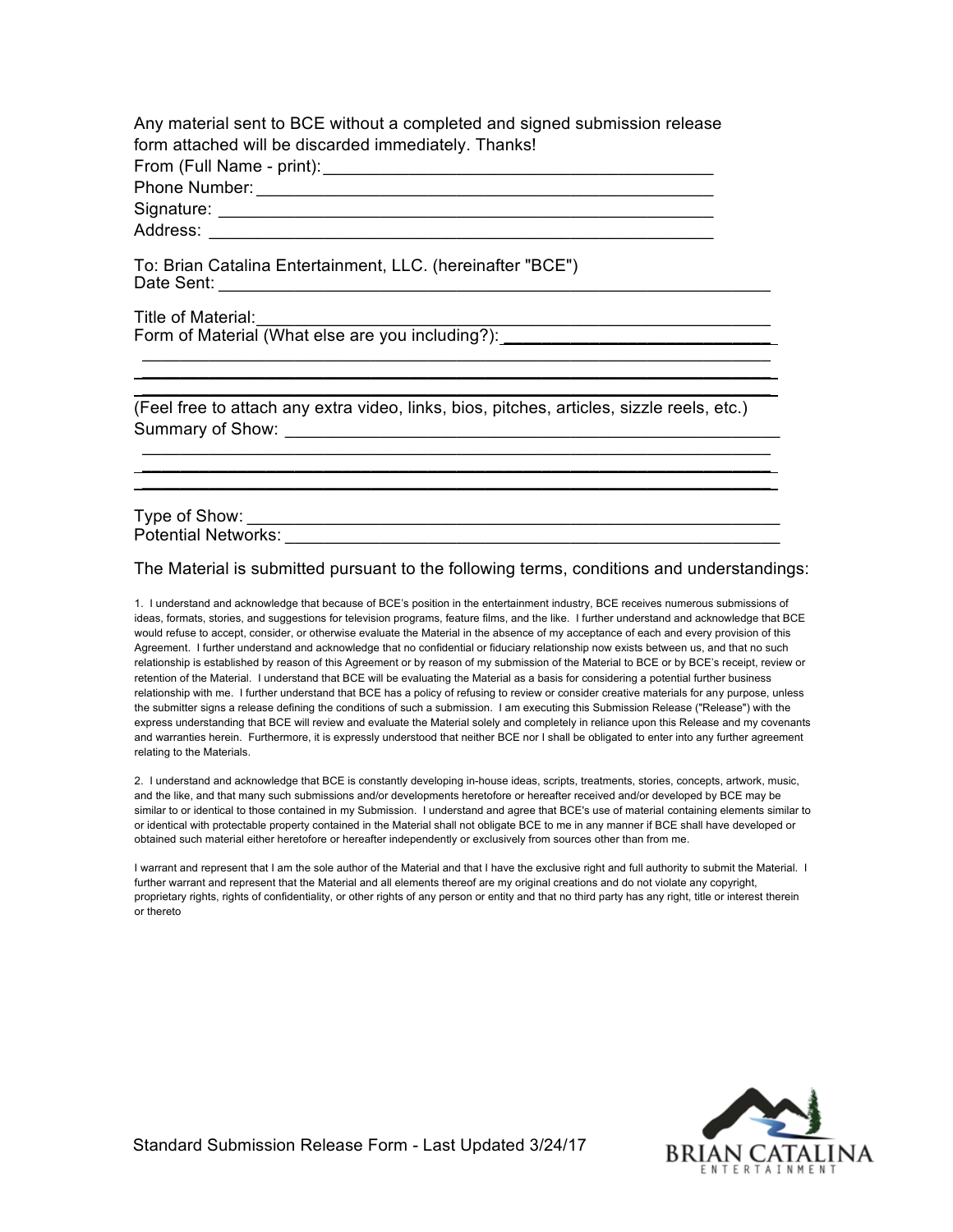Any material sent to BCE without a completed and signed submission release form attached will be discarded immediately. Thanks!

From (Full Name - print):\_\_\_\_\_\_\_\_\_\_\_\_\_\_\_\_\_\_\_\_\_\_\_\_\_\_\_\_\_\_\_\_\_\_\_\_\_\_\_\_\_

Phone Number: \_\_\_\_\_\_\_\_\_\_\_\_\_\_\_\_\_\_\_\_\_\_\_\_\_\_\_\_\_\_\_\_\_\_\_\_\_\_\_\_\_\_\_\_\_\_\_\_

Signature: \_\_\_\_\_\_\_\_\_\_\_\_\_\_\_\_\_\_\_\_\_\_\_\_\_\_\_\_\_\_\_\_\_\_\_\_\_\_\_\_\_\_\_\_\_\_\_\_\_\_\_\_

Address:

To: Brian Catalina Entertainment, LLC. (hereinafter "BCE") Date Sent: **Date Sent: Date Sent: Date Sent: Date Sent: Date Sent: Date Sent: Date Sent: Date Sent: Date Sent: Date Sent: Date Sent: Date Sent: Date Sent: Date Sent: Date Sent: Date Sent: Da** 

Title of Material: Form of Material (What else are you including?):

(Feel free to attach any extra video, links, bios, pitches, articles, sizzle reels, etc.) Summary of Show: \_\_\_\_\_\_\_\_\_\_\_\_\_\_\_\_\_\_\_\_\_\_\_\_\_\_\_\_\_\_\_\_\_\_\_\_\_\_\_\_\_\_\_\_\_\_\_\_\_\_\_\_

 $\mathcal{L}_\mathcal{L} = \mathcal{L}_\mathcal{L}$ **\_\_\_\_\_\_\_\_\_\_\_\_\_\_\_\_\_\_\_\_\_\_\_\_\_\_\_\_\_\_\_\_\_\_\_\_\_\_\_\_\_\_\_\_\_\_\_\_\_\_\_\_\_\_\_\_\_\_\_\_\_\_\_\_\_\_**

 $\mathcal{L}_\text{G} = \mathcal{L}_\text{G} = \mathcal{L}_\text{G} = \mathcal{L}_\text{G} = \mathcal{L}_\text{G} = \mathcal{L}_\text{G} = \mathcal{L}_\text{G} = \mathcal{L}_\text{G} = \mathcal{L}_\text{G} = \mathcal{L}_\text{G} = \mathcal{L}_\text{G} = \mathcal{L}_\text{G} = \mathcal{L}_\text{G} = \mathcal{L}_\text{G} = \mathcal{L}_\text{G} = \mathcal{L}_\text{G} = \mathcal{L}_\text{G} = \mathcal{L}_\text{G} = \mathcal{$ **\_\_\_\_\_\_\_\_\_\_\_\_\_\_\_\_\_\_\_\_\_\_\_\_\_\_\_\_\_\_\_\_\_\_\_\_\_\_\_\_\_\_\_\_\_\_\_\_\_\_\_\_\_\_\_\_\_\_\_\_\_\_\_\_\_\_**  $\mathcal{L}_\mathcal{L} = \mathcal{L}_\mathcal{L} - \mathcal{L}_\mathcal{L}$ 

Type of Show: \_\_\_\_\_\_\_\_\_\_\_\_\_\_\_\_\_\_\_\_\_\_\_\_\_\_\_\_\_\_\_\_\_\_\_\_\_\_\_\_\_\_\_\_\_\_\_\_\_\_\_\_\_\_\_\_ Potential Networks:

The Material is submitted pursuant to the following terms, conditions and understandings:

1. I understand and acknowledge that because of BCE's position in the entertainment industry, BCE receives numerous submissions of ideas, formats, stories, and suggestions for television programs, feature films, and the like. I further understand and acknowledge that BCE would refuse to accept, consider, or otherwise evaluate the Material in the absence of my acceptance of each and every provision of this Agreement. I further understand and acknowledge that no confidential or fiduciary relationship now exists between us, and that no such relationship is established by reason of this Agreement or by reason of my submission of the Material to BCE or by BCE's receipt, review or retention of the Material. I understand that BCE will be evaluating the Material as a basis for considering a potential further business relationship with me. I further understand that BCE has a policy of refusing to review or consider creative materials for any purpose, unless the submitter signs a release defining the conditions of such a submission. I am executing this Submission Release ("Release") with the express understanding that BCE will review and evaluate the Material solely and completely in reliance upon this Release and my covenants and warranties herein. Furthermore, it is expressly understood that neither BCE nor I shall be obligated to enter into any further agreement relating to the Materials.

2. I understand and acknowledge that BCE is constantly developing in-house ideas, scripts, treatments, stories, concepts, artwork, music, and the like, and that many such submissions and/or developments heretofore or hereafter received and/or developed by BCE may be similar to or identical to those contained in my Submission. I understand and agree that BCE's use of material containing elements similar to or identical with protectable property contained in the Material shall not obligate BCE to me in any manner if BCE shall have developed or obtained such material either heretofore or hereafter independently or exclusively from sources other than from me.

I warrant and represent that I am the sole author of the Material and that I have the exclusive right and full authority to submit the Material. I further warrant and represent that the Material and all elements thereof are my original creations and do not violate any copyright, proprietary rights, rights of confidentiality, or other rights of any person or entity and that no third party has any right, title or interest therein or thereto

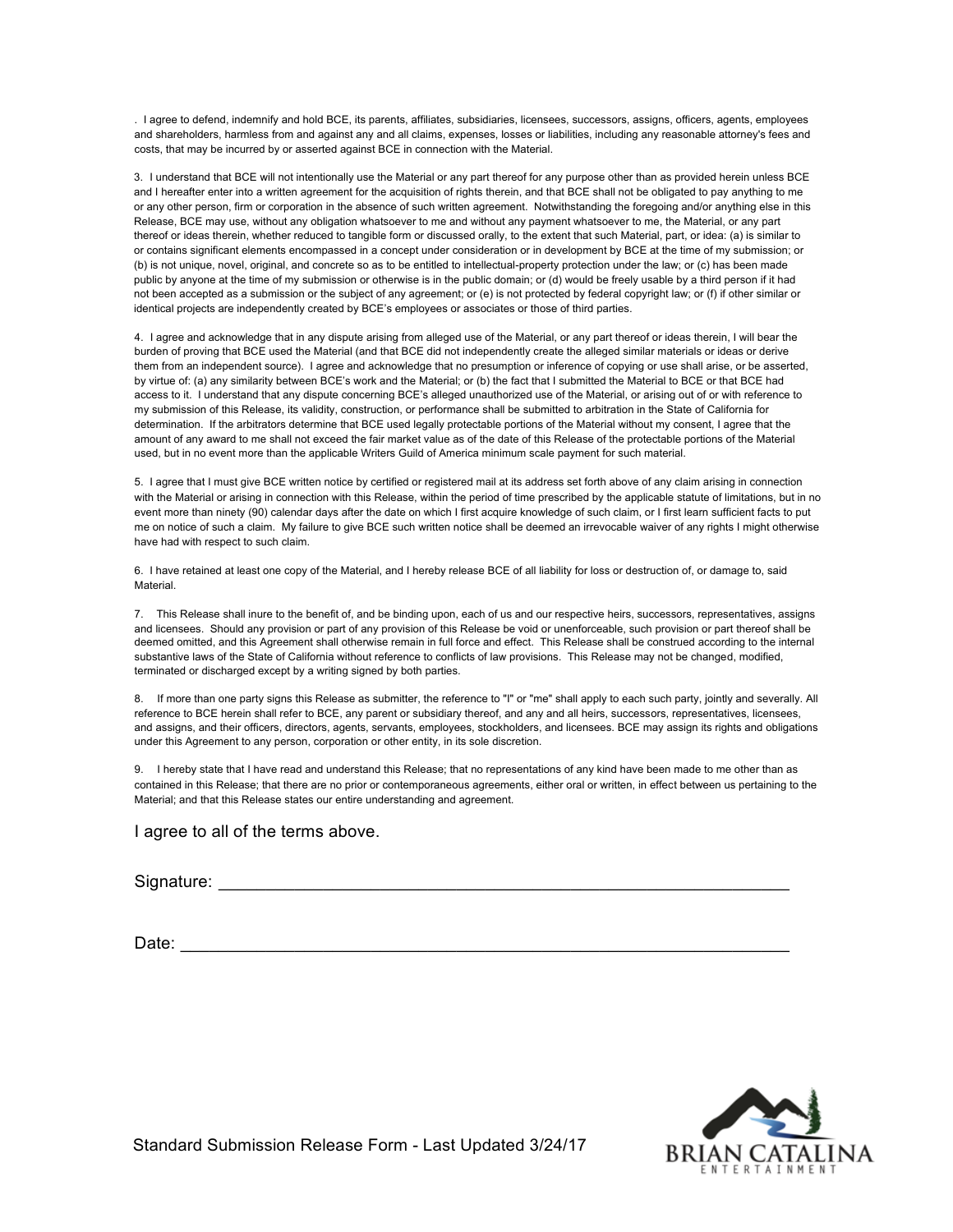. I agree to defend, indemnify and hold BCE, its parents, affiliates, subsidiaries, licensees, successors, assigns, officers, agents, employees and shareholders, harmless from and against any and all claims, expenses, losses or liabilities, including any reasonable attorney's fees and costs, that may be incurred by or asserted against BCE in connection with the Material.

3. I understand that BCE will not intentionally use the Material or any part thereof for any purpose other than as provided herein unless BCE and I hereafter enter into a written agreement for the acquisition of rights therein, and that BCE shall not be obligated to pay anything to me or any other person, firm or corporation in the absence of such written agreement. Notwithstanding the foregoing and/or anything else in this Release, BCE may use, without any obligation whatsoever to me and without any payment whatsoever to me, the Material, or any part thereof or ideas therein, whether reduced to tangible form or discussed orally, to the extent that such Material, part, or idea: (a) is similar to or contains significant elements encompassed in a concept under consideration or in development by BCE at the time of my submission; or (b) is not unique, novel, original, and concrete so as to be entitled to intellectual-property protection under the law; or (c) has been made public by anyone at the time of my submission or otherwise is in the public domain; or (d) would be freely usable by a third person if it had not been accepted as a submission or the subject of any agreement; or (e) is not protected by federal copyright law; or (f) if other similar or identical projects are independently created by BCE's employees or associates or those of third parties.

4. I agree and acknowledge that in any dispute arising from alleged use of the Material, or any part thereof or ideas therein, I will bear the burden of proving that BCE used the Material (and that BCE did not independently create the alleged similar materials or ideas or derive them from an independent source). I agree and acknowledge that no presumption or inference of copying or use shall arise, or be asserted, by virtue of: (a) any similarity between BCE's work and the Material; or (b) the fact that I submitted the Material to BCE or that BCE had access to it. I understand that any dispute concerning BCE's alleged unauthorized use of the Material, or arising out of or with reference to my submission of this Release, its validity, construction, or performance shall be submitted to arbitration in the State of California for determination. If the arbitrators determine that BCE used legally protectable portions of the Material without my consent, I agree that the amount of any award to me shall not exceed the fair market value as of the date of this Release of the protectable portions of the Material used, but in no event more than the applicable Writers Guild of America minimum scale payment for such material.

5. I agree that I must give BCE written notice by certified or registered mail at its address set forth above of any claim arising in connection with the Material or arising in connection with this Release, within the period of time prescribed by the applicable statute of limitations, but in no event more than ninety (90) calendar days after the date on which I first acquire knowledge of such claim, or I first learn sufficient facts to put me on notice of such a claim. My failure to give BCE such written notice shall be deemed an irrevocable waiver of any rights I might otherwise have had with respect to such claim.

6. I have retained at least one copy of the Material, and I hereby release BCE of all liability for loss or destruction of, or damage to, said Material.

7. This Release shall inure to the benefit of, and be binding upon, each of us and our respective heirs, successors, representatives, assigns and licensees. Should any provision or part of any provision of this Release be void or unenforceable, such provision or part thereof shall be deemed omitted, and this Agreement shall otherwise remain in full force and effect. This Release shall be construed according to the internal substantive laws of the State of California without reference to conflicts of law provisions. This Release may not be changed, modified, terminated or discharged except by a writing signed by both parties.

8. If more than one party signs this Release as submitter, the reference to "I" or "me" shall apply to each such party, jointly and severally. All reference to BCE herein shall refer to BCE, any parent or subsidiary thereof, and any and all heirs, successors, representatives, licensees, and assigns, and their officers, directors, agents, servants, employees, stockholders, and licensees. BCE may assign its rights and obligations under this Agreement to any person, corporation or other entity, in its sole discretion.

9. I hereby state that I have read and understand this Release; that no representations of any kind have been made to me other than as contained in this Release; that there are no prior or contemporaneous agreements, either oral or written, in effect between us pertaining to the Material; and that this Release states our entire understanding and agreement.

I agree to all of the terms above.

Signature: \_\_\_\_\_\_\_\_\_\_\_\_\_\_\_\_\_\_\_\_\_\_\_\_\_\_\_\_\_\_\_\_\_\_\_\_\_\_\_\_\_\_\_\_\_\_\_\_\_\_\_\_\_\_\_\_\_\_\_\_

Date:  $\Box$ 



Standard Submission Release Form - Last Updated 3/24/17